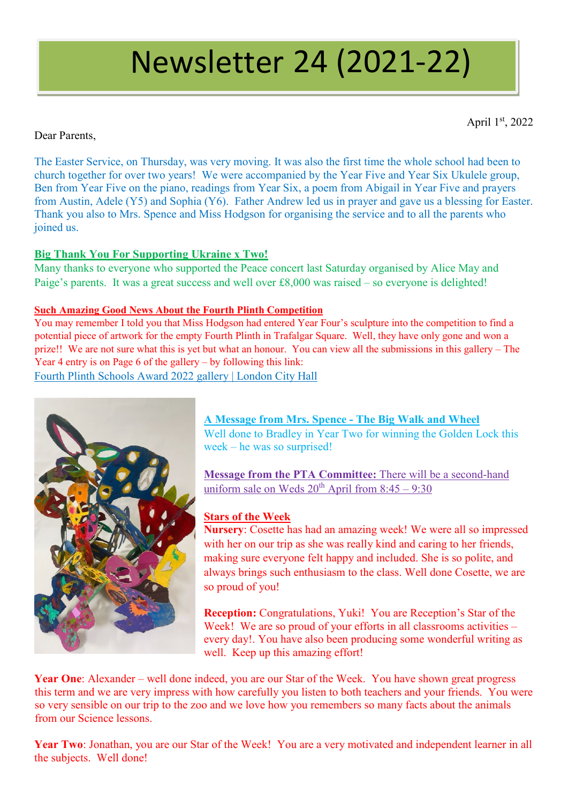# Newsletter 24 (2021-22)

April 1st, 2022

Dear Parents,

The Easter Service, on Thursday, was very moving. It was also the first time the whole school had been to church together for over two years! We were accompanied by the Year Five and Year Six Ukulele group, Ben from Year Five on the piano, readings from Year Six, a poem from Abigail in Year Five and prayers from Austin, Adele (Y5) and Sophia (Y6). Father Andrew led us in prayer and gave us a blessing for Easter. Thank you also to Mrs. Spence and Miss Hodgson for organising the service and to all the parents who joined us.

## **Big Thank You For Supporting Ukraine x Two!**

Many thanks to everyone who supported the Peace concert last Saturday organised by Alice May and Paige's parents. It was a great success and well over £8,000 was raised – so everyone is delighted!

## **Such Amazing Good News About the Fourth Plinth Competition**

You may remember I told you that Miss Hodgson had entered Year Four's sculpture into the competition to find a potential piece of artwork for the empty Fourth Plinth in Trafalgar Square. Well, they have only gone and won a prize!! We are not sure what this is yet but what an honour. You can view all the submissions in this gallery – The Year 4 entry is on Page 6 of the gallery – by following this link:

[Fourth Plinth Schools Award 2022 gallery | London City Hall](https://www.london.gov.uk/what-we-do/arts-and-culture/art-and-design/fourth-plinth/fourth-plinth-schools-awards-2022/gallery?page=5)



# **A Message from Mrs. Spence - The Big Walk and Wheel**

Well done to Bradley in Year Two for winning the Golden Lock this week – he was so surprised!

**Message from the PTA Committee:** There will be a second-hand uniform sale on Weds  $20^{th}$  April from  $8:45 - 9:30$ 

## **Stars of the Week**

**Nursery**: Cosette has had an amazing week! We were all so impressed with her on our trip as she was really kind and caring to her friends, making sure everyone felt happy and included. She is so polite, and always brings such enthusiasm to the class. Well done Cosette, we are so proud of you!

**Reception:** Congratulations, Yuki! You are Reception's Star of the Week! We are so proud of your efforts in all classrooms activities – every day!. You have also been producing some wonderful writing as well. Keep up this amazing effort!

**Year One**: Alexander – well done indeed, you are our Star of the Week. You have shown great progress this term and we are very impress with how carefully you listen to both teachers and your friends. You were so very sensible on our trip to the zoo and we love how you remembers so many facts about the animals from our Science lessons.

**Year Two**: Jonathan, you are our Star of the Week! You are a very motivated and independent learner in all the subjects. Well done!